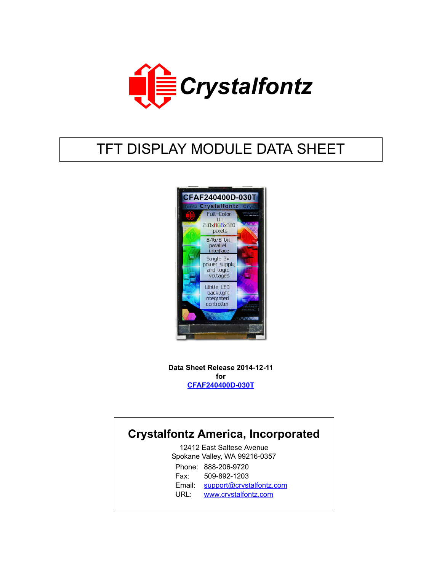

# TFT DISPLAY MODULE DATA SHEET



**Data Sheet Release 2014-12-11 for [CFAF240400D-030T](https://www.crystalfontz.com/product/CFAF240400D030T)**

## **Crystalfontz America, Incorporated**

12412 East Saltese Avenue Spokane Valley, WA 99216-0357 Phone: 888-206-9720 Fax: 509-892-1203 Email: [support@crystalfontz.com](mailto:support@crystalfontz.com) URL: [www.crystalfontz.com](http://www.crystalfontz.com)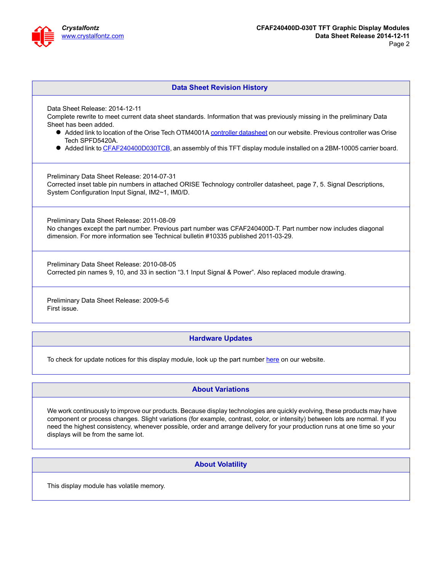

#### **Data Sheet Revision History**

Data Sheet Release: 2014-12-11

Complete rewrite to meet current data sheet standards. Information that was previously missing in the preliminary Data Sheet has been added.

- Added link to location of the Orise Tech OTM4001A [controller datasheet](https://www.crystalfontz.com/controllers/) on our website. Previous controller was Orise Tech SPFD5420A.
- Added link to [CFAF240400D030TCB,](https://www.crystalfontz.com/product/CFAF240400D030TCB) an assembly of this TFT display module installed on a 2BM-10005 carrier board.

Preliminary Data Sheet Release: 2014-07-31 Corrected inset table pin numbers in attached ORISE Technology controller datasheet, page 7, 5. Signal Descriptions, System Configuration Input Signal, IM2~1, IM0/D.

Preliminary Data Sheet Release: 2011-08-09 No changes except the part number. Previous part number was CFAF240400D-T. Part number now includes diagonal dimension. For more information see Technical bulletin #10335 published 2011-03-29.

Preliminary Data Sheet Release: 2010-08-05 Corrected pin names 9, 10, and 33 in section "3.1 Input Signal & Power". Also replaced module drawing.

Preliminary Data Sheet Release: 2009-5-6 First issue.

#### **Hardware Updates**

To check for update notices for this display module, look up the part number [here](https://www.crystalfontz.com/news/pcn.php) on our website.

#### **About Variations**

We work continuously to improve our products. Because display technologies are quickly evolving, these products may have component or process changes. Slight variations (for example, contrast, color, or intensity) between lots are normal. If you need the highest consistency, whenever possible, order and arrange delivery for your production runs at one time so your displays will be from the same lot.

**About Volatility**

This display module has volatile memory.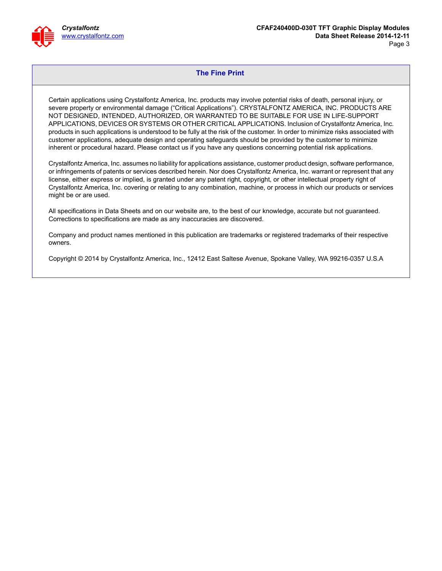

#### **The Fine Print**

Certain applications using Crystalfontz America, Inc. products may involve potential risks of death, personal injury, or severe property or environmental damage ("Critical Applications"). CRYSTALFONTZ AMERICA, INC. PRODUCTS ARE NOT DESIGNED, INTENDED, AUTHORIZED, OR WARRANTED TO BE SUITABLE FOR USE IN LIFE-SUPPORT APPLICATIONS, DEVICES OR SYSTEMS OR OTHER CRITICAL APPLICATIONS. Inclusion of Crystalfontz America, Inc. products in such applications is understood to be fully at the risk of the customer. In order to minimize risks associated with customer applications, adequate design and operating safeguards should be provided by the customer to minimize inherent or procedural hazard. Please contact us if you have any questions concerning potential risk applications.

Crystalfontz America, Inc. assumes no liability for applications assistance, customer product design, software performance, or infringements of patents or services described herein. Nor does Crystalfontz America, Inc. warrant or represent that any license, either express or implied, is granted under any patent right, copyright, or other intellectual property right of Crystalfontz America, Inc. covering or relating to any combination, machine, or process in which our products or services might be or are used.

All specifications in Data Sheets and on our website are, to the best of our knowledge, accurate but not guaranteed. Corrections to specifications are made as any inaccuracies are discovered.

Company and product names mentioned in this publication are trademarks or registered trademarks of their respective owners.

Copyright © 2014 by Crystalfontz America, Inc., 12412 East Saltese Avenue, Spokane Valley, WA 99216-0357 U.S.A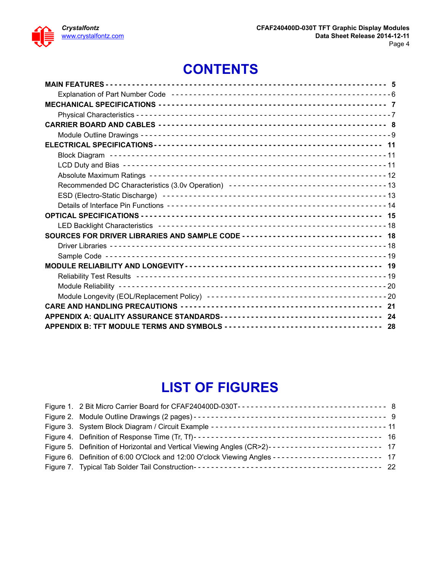

# **CONTENTS**

| SOURCES FOR DRIVER LIBRARIES AND SAMPLE CODE ------------------------------- 18 |  |
|---------------------------------------------------------------------------------|--|
|                                                                                 |  |
|                                                                                 |  |
|                                                                                 |  |
|                                                                                 |  |
|                                                                                 |  |
|                                                                                 |  |
|                                                                                 |  |
|                                                                                 |  |
|                                                                                 |  |

# **LIST OF FIGURES**

| Figure 5. Definition of Horizontal and Vertical Viewing Angles (CR>2)------------------------- 17 |  |
|---------------------------------------------------------------------------------------------------|--|
| Figure 6. Definition of 6:00 O'Clock and 12:00 O'clock Viewing Angles ----------------------- 17  |  |
|                                                                                                   |  |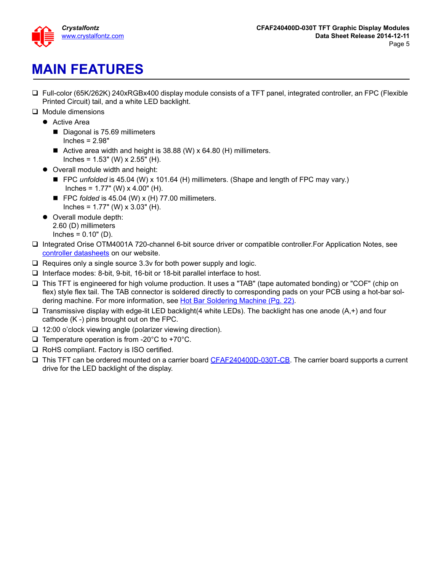

# <span id="page-4-0"></span>**MAIN FEATURES**

- Full-color (65K/262K) 240xRGBx400 display module consists of a TFT panel, integrated controller, an FPC (Flexible Printed Circuit) tail, and a white LED backlight.
- $\Box$  Module dimensions
	- Active Area
		- Diagonal is 75.69 millimeters Inches = 2.98"
		- Active area width and height is 38.88 (W) x 64.80 (H) millimeters. Inches =  $1.53$ " (W) x  $2.55$ " (H).
	- Overall module width and height:
		- FPC *unfolded* is 45.04 (W) x 101.64 (H) millimeters. (Shape and length of FPC may vary.) Inches =  $1.77$ " (W) x  $4.00$ " (H).
		- FPC *folded* is 45.04 (W) x (H) 77.00 millimeters. Inches =  $1.77$ " (W) x  $3.03$ " (H).
	- Overall module depth: 2.60 (D) millimeters Inches = 0.10" (D).
- Integrated Orise OTM4001A 720-channel 6-bit source driver or compatible controller.For Application Notes, see [controller datasheets](http://www.crystalfontz.com/controllers/) on our website.
- $\Box$  Requires only a single source 3.3v for both power supply and logic.
- Interface modes: 8-bit, 9-bit, 16-bit or 18-bit parallel interface to host.
- This TFT is engineered for high volume production. It uses a "TAB" (tape automated bonding) or "COF" (chip on flex) style flex tail. The TAB connector is soldered directly to corresponding pads on your PCB using a hot-bar sol-dering machine. For more information, see [Hot Bar Soldering Machine \(Pg. 22\).](#page-21-1)
- $\Box$  Transmissive display with edge-lit LED backlight(4 white LEDs). The backlight has one anode (A,+) and four cathode (K -) pins brought out on the FPC.
- □ 12:00 o'clock viewing angle (polarizer viewing direction).
- $\Box$  Temperature operation is from -20 $^{\circ}$ C to +70 $^{\circ}$ C.
- $\Box$  RoHS compliant. Factory is ISO certified.
- □ This TFT can be ordered mounted on a carrier board [CFAF240400D-030T-CB.](https://www.crystalfontz.com/product/CFAF240400D030TCB) The carrier board supports a current drive for the LED backlight of the display.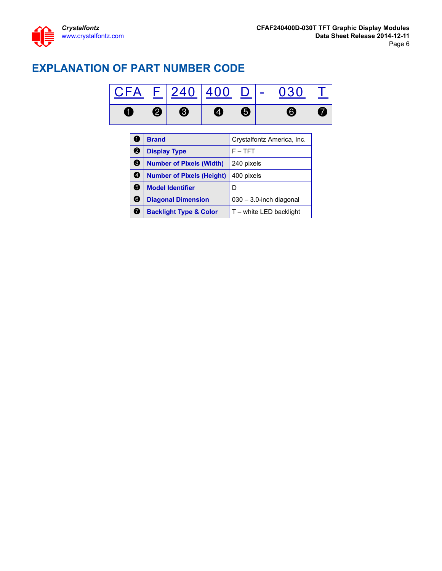## <span id="page-5-0"></span>**EXPLANATION OF PART NUMBER CODE**



|   | <b>Brand</b>                      | Crystalfontz America, Inc. |
|---|-----------------------------------|----------------------------|
| 2 | <b>Display Type</b>               | $F - TFT$                  |
| ❸ | <b>Number of Pixels (Width)</b>   | 240 pixels                 |
| Ø | <b>Number of Pixels (Height)</b>  | 400 pixels                 |
| 6 | <b>Model Identifier</b>           |                            |
| 6 | <b>Diagonal Dimension</b>         | $030 - 3.0$ -inch diagonal |
| 7 | <b>Backlight Type &amp; Color</b> | $T$ – white LED backlight  |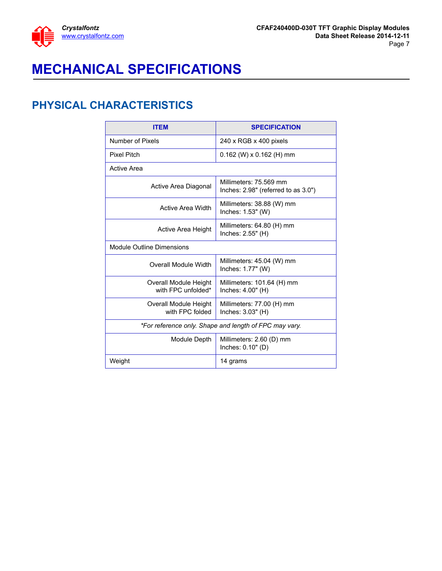

# <span id="page-6-0"></span>**MECHANICAL SPECIFICATIONS**

#### <span id="page-6-1"></span>**PHYSICAL CHARACTERISTICS**

| <b>ITEM</b>                                 | <b>SPECIFICATION</b>                                          |
|---------------------------------------------|---------------------------------------------------------------|
| Number of Pixels                            | $240 \times \text{RGB} \times 400 \text{ pixels}$             |
| Pixel Pitch                                 | $0.162$ (W) x $0.162$ (H) mm                                  |
| Active Area                                 |                                                               |
| Active Area Diagonal                        | Millimeters: 75.569 mm<br>Inches: 2.98" (referred to as 3.0") |
| Active Area Width                           | Millimeters: 38.88 (W) mm<br>Inches: 1.53" (W)                |
| Active Area Height                          | Millimeters: 64.80 (H) mm<br>Inches: 2.55" (H)                |
| Module Outline Dimensions                   |                                                               |
| Overall Module Width                        | Millimeters: 45.04 (W) mm<br>Inches: 1.77" (W)                |
| Overall Module Height<br>with FPC unfolded* | Millimeters: 101.64 (H) mm<br>Inches: 4.00" (H)               |
| Overall Module Height<br>with FPC folded    | Millimeters: 77.00 (H) mm<br>Inches: 3.03" (H)                |
|                                             | *For reference only. Shape and length of FPC may vary.        |
| Module Depth                                | Millimeters: 2.60 (D) mm<br>Inches: 0.10" (D)                 |
| Weight                                      | 14 grams                                                      |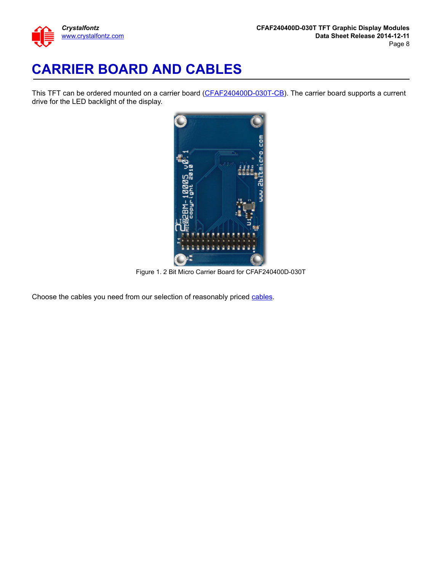

# <span id="page-7-0"></span>**CARRIER BOARD AND CABLES**

This TFT can be ordered mounted on a carrier board ([CFAF240400D-030T-CB\)](https://www.crystalfontz.com/product/CFAF240400D030TCB). The carrier board supports a current drive for the LED backlight of the display.



Figure 1. 2 Bit Micro Carrier Board for CFAF240400D-030T

<span id="page-7-1"></span>Choose the cables you need from our selection of reasonably priced [cables.](https://www.crystalfontz.com/products/lcd-display-cables.html)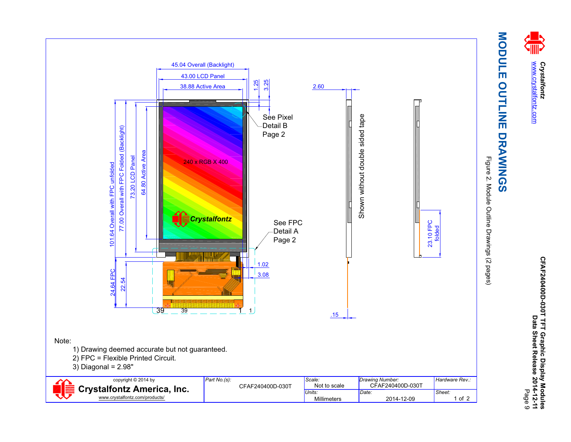

# MODULE OUTLINE DRAWINGS **MODULE OUTLINE DRAWINGS**

Figure 2. Module Outline Drawings (2 pages) Figure 2. Module Outline Drawings (2 pages)

<span id="page-8-1"></span><span id="page-8-0"></span>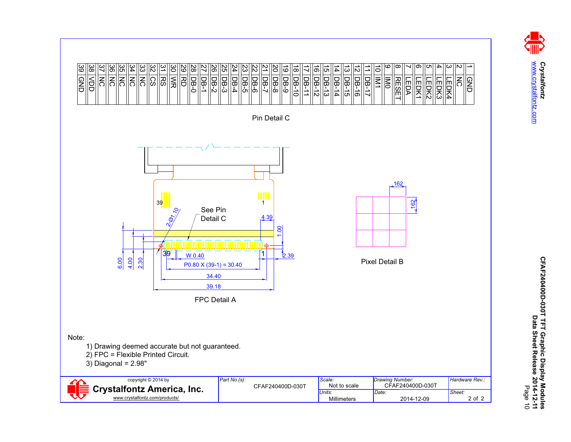

Crystalfontz<br>www.crystalfontz.com [www.crystalfontz.com](http://www.crystalfontz.com) *Crystalfontz*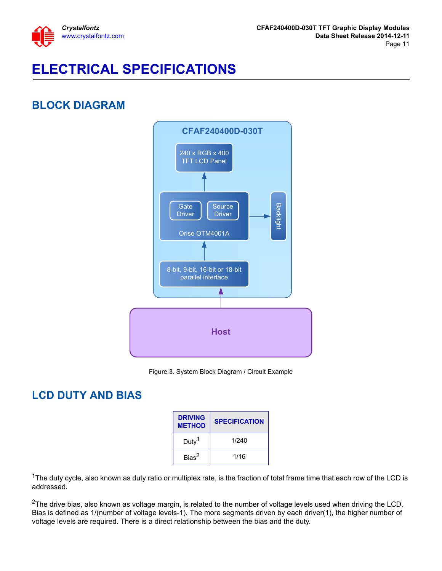

# <span id="page-10-0"></span>**ELECTRICAL SPECIFICATIONS**

## <span id="page-10-1"></span>**BLOCK DIAGRAM**





#### <span id="page-10-3"></span><span id="page-10-2"></span>**LCD DUTY AND BIAS**

| <b>DRIVING</b><br><b>METHOD</b> | <b>SPECIFICATION</b> |
|---------------------------------|----------------------|
| Duty <sup>1</sup>               | 1/240                |
| Bias <sup>2</sup>               | 1/16                 |

<sup>1</sup>The duty cycle, also known as duty ratio or multiplex rate, is the fraction of total frame time that each row of the LCD is addressed.

 $2$ The drive bias, also known as voltage margin, is related to the number of voltage levels used when driving the LCD. Bias is defined as 1/(number of voltage levels-1). The more segments driven by each driver(1), the higher number of voltage levels are required. There is a direct relationship between the bias and the duty.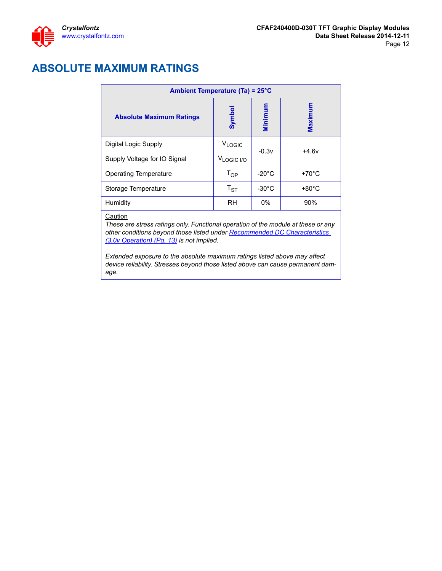#### <span id="page-11-0"></span>**ABSOLUTE MAXIMUM RATINGS**

| Ambient Temperature (Ta) = 25°C |                        |                 |                 |  |  |
|---------------------------------|------------------------|-----------------|-----------------|--|--|
| <b>Absolute Maximum Ratings</b> | Symbo                  | Minimum         | Maximum         |  |  |
| Digital Logic Supply            | <b>VLOGIC</b>          | $-0.3v$         | $+4.6v$         |  |  |
| Supply Voltage for IO Signal    | V <sub>LOGIC I/O</sub> |                 |                 |  |  |
| <b>Operating Temperature</b>    | $T_{OP}$               | $-20^{\circ}$ C | $+70^{\circ}$ C |  |  |
| Storage Temperature             | $T_{ST}$               | $-30^{\circ}$ C | $+80^{\circ}$ C |  |  |
| Humidity                        | <b>RH</b>              | $0\%$           | 90%             |  |  |

#### **Caution**

*These are stress ratings only. Functional operation of the module at these or any other conditions beyond those listed under [Recommended DC Characteristics](#page-12-0)  [\(3.0v Operation\) \(Pg. 13\)](#page-12-0) is not implied.* 

*Extended exposure to the absolute maximum ratings listed above may affect device reliability. Stresses beyond those listed above can cause permanent damage.*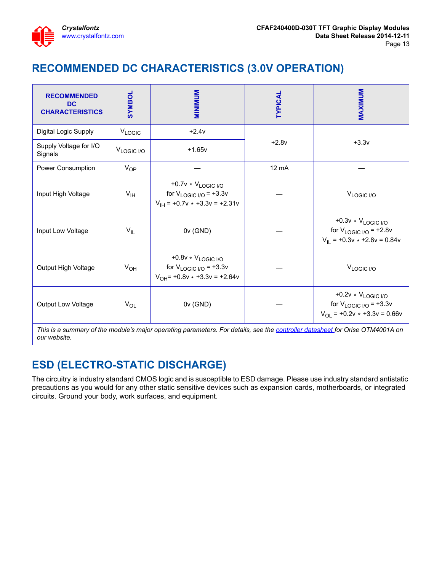

## <span id="page-12-0"></span>**RECOMMENDED DC CHARACTERISTICS (3.0V OPERATION)**

| <b>RECOMMENDED</b><br><b>DC</b><br><b>CHARACTERISTICS</b> | <b>JOANNS</b>          | <b>MINIMINI</b>                                                                                     | <b>TYPICAL</b>  | MAXIMUM                                                                                          |
|-----------------------------------------------------------|------------------------|-----------------------------------------------------------------------------------------------------|-----------------|--------------------------------------------------------------------------------------------------|
| Digital Logic Supply                                      | VLOGIC                 | $+2.4v$                                                                                             |                 |                                                                                                  |
| Supply Voltage for I/O<br>Signals                         | V <sub>LOGIC I/O</sub> | $+2.8v$<br>$+1.65v$                                                                                 |                 | $+3.3v$                                                                                          |
| Power Consumption                                         | $V_{OP}$               |                                                                                                     | $12 \text{ mA}$ |                                                                                                  |
| Input High Voltage                                        | $V_{\text{IH}}$        | +0.7v * VLOGIC I/O<br>for $V_{LOGIC~I/O}$ = +3.3v<br>$V_{\text{IH}}$ = +0.7v $\star$ +3.3v = +2.31v |                 | V <sub>LOGIC I/O</sub>                                                                           |
| Input Low Voltage                                         | $V_{IL}$               | 0v (GND)                                                                                            |                 | $+0.3v * V_{LOGIC I/O}$<br>for $V_{LOGIC~I/O}$ = +2.8v<br>$V_{II}$ = +0.3v $\star$ +2.8v = 0.84v |
| Output High Voltage                                       | $V_{OH}$               | +0.8v * VLOGIC I/O<br>for $V_{LOGIC~I/O}$ = +3.3v<br>$V_{OH}$ = +0.8v $\star$ +3.3v = +2.64v        |                 | V <sub>LOGIC I/O</sub>                                                                           |
| Output Low Voltage                                        | $V_{OL}$               | 0v (GND)                                                                                            |                 | $+0.2v * V_{LOGIC I/O}$<br>for $V_{LOGIC~I/O}$ = +3.3v<br>$V_{OL}$ = +0.2v $*$ +3.3v = 0.66v     |

*This is a summary of the module's major operating parameters. For details, see the [controller datasheet f](http://www.crystalfontz.com/controllers/)or Orise OTM4001A on our website.*

## <span id="page-12-1"></span>**ESD (ELECTRO-STATIC DISCHARGE)**

The circuitry is industry standard CMOS logic and is susceptible to ESD damage. Please use industry standard antistatic precautions as you would for any other static sensitive devices such as expansion cards, motherboards, or integrated circuits. Ground your body, work surfaces, and equipment.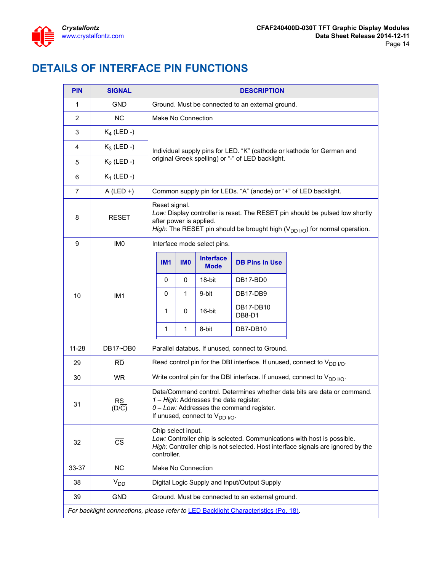## <span id="page-13-0"></span>**DETAILS OF INTERFACE PIN FUNCTIONS**

| <b>PIN</b>     | <b>SIGNAL</b>                                                                              |  | <b>DESCRIPTION</b>                                                                                                                                                                                                       |                    |                                 |                                                  |                                                                               |  |
|----------------|--------------------------------------------------------------------------------------------|--|--------------------------------------------------------------------------------------------------------------------------------------------------------------------------------------------------------------------------|--------------------|---------------------------------|--------------------------------------------------|-------------------------------------------------------------------------------|--|
| 1              | <b>GND</b>                                                                                 |  | Ground. Must be connected to an external ground.                                                                                                                                                                         |                    |                                 |                                                  |                                                                               |  |
| 2              | <b>NC</b>                                                                                  |  |                                                                                                                                                                                                                          | Make No Connection |                                 |                                                  |                                                                               |  |
| 3              | $K_4$ (LED -)                                                                              |  |                                                                                                                                                                                                                          |                    |                                 |                                                  |                                                                               |  |
| 4              | $K_3$ (LED -)                                                                              |  | Individual supply pins for LED. "K" (cathode or kathode for German and                                                                                                                                                   |                    |                                 |                                                  |                                                                               |  |
| 5              | $K_2$ (LED -)                                                                              |  | original Greek spelling) or "-" of LED backlight.                                                                                                                                                                        |                    |                                 |                                                  |                                                                               |  |
| 6              | $K_1$ (LED -)                                                                              |  |                                                                                                                                                                                                                          |                    |                                 |                                                  |                                                                               |  |
| $\overline{7}$ | $A$ (LED +)                                                                                |  |                                                                                                                                                                                                                          |                    |                                 |                                                  | Common supply pin for LEDs. "A" (anode) or "+" of LED backlight.              |  |
| 8              | <b>RESET</b>                                                                               |  | Reset signal.<br>Low: Display controller is reset. The RESET pin should be pulsed low shortly<br>after power is applied.<br>High: The RESET pin should be brought high ( $V_{DD}$ <sub>I/O</sub> ) for normal operation. |                    |                                 |                                                  |                                                                               |  |
| 9              | IM <sub>0</sub>                                                                            |  |                                                                                                                                                                                                                          |                    | Interface mode select pins.     |                                                  |                                                                               |  |
|                |                                                                                            |  | <b>IM1</b>                                                                                                                                                                                                               | <b>IMO</b>         | <b>Interface</b><br><b>Mode</b> | <b>DB Pins In Use</b>                            |                                                                               |  |
|                |                                                                                            |  | 0                                                                                                                                                                                                                        | 0                  | 18-bit                          | DB17-BD0                                         |                                                                               |  |
| 10             | IM <sub>1</sub>                                                                            |  | 0                                                                                                                                                                                                                        | 1                  | 9-bit                           | DB17-DB9                                         |                                                                               |  |
|                |                                                                                            |  | 1                                                                                                                                                                                                                        | 0                  | 16-bit                          | DB17-DB10<br>DB8-D1                              |                                                                               |  |
|                |                                                                                            |  | 1                                                                                                                                                                                                                        | $\mathbf{1}$       | 8-bit                           | DB7-DB10                                         |                                                                               |  |
| $11 - 28$      | DB17~DB0                                                                                   |  | Parallel databus. If unused, connect to Ground.                                                                                                                                                                          |                    |                                 |                                                  |                                                                               |  |
| 29             | $\overline{RD}$                                                                            |  | Read control pin for the DBI interface. If unused, connect to $V_{DD~I/O}$ .                                                                                                                                             |                    |                                 |                                                  |                                                                               |  |
| 30             | <b>WR</b>                                                                                  |  |                                                                                                                                                                                                                          |                    |                                 |                                                  | Write control pin for the DBI interface. If unused, connect to $V_{DD~I/O}$ . |  |
| 31             | <b>RS</b><br>(D/C)                                                                         |  | Data/Command control. Determines whether data bits are data or command.<br>1 - High: Addresses the data register.<br>0 - Low: Addresses the command register.<br>If unused, connect to $V_{DD I/O}$ .                    |                    |                                 |                                                  |                                                                               |  |
| 32             | $\overline{\text{cs}}$                                                                     |  | Chip select input.<br>Low: Controller chip is selected. Communications with host is possible.<br>High: Controller chip is not selected. Host interface signals are ignored by the<br>controller.                         |                    |                                 |                                                  |                                                                               |  |
| 33-37          | <b>NC</b>                                                                                  |  |                                                                                                                                                                                                                          | Make No Connection |                                 |                                                  |                                                                               |  |
| 38             | $V_{DD}$                                                                                   |  |                                                                                                                                                                                                                          |                    |                                 | Digital Logic Supply and Input/Output Supply     |                                                                               |  |
| 39             | <b>GND</b>                                                                                 |  |                                                                                                                                                                                                                          |                    |                                 | Ground. Must be connected to an external ground. |                                                                               |  |
|                | For backlight connections, please refer to <b>LED Backlight Characteristics (Pg. 18)</b> . |  |                                                                                                                                                                                                                          |                    |                                 |                                                  |                                                                               |  |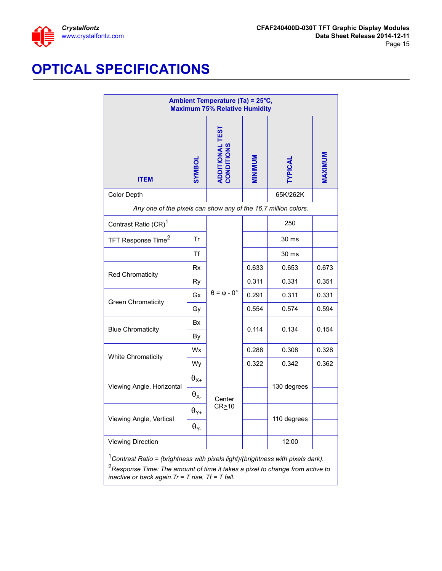

# <span id="page-14-0"></span>**OPTICAL SPECIFICATIONS**

| Ambient Temperature (Ta) = 25°C,<br><b>Maximum 75% Relative Humidity</b>                                                                                                       |                         |                                       |                |                |         |
|--------------------------------------------------------------------------------------------------------------------------------------------------------------------------------|-------------------------|---------------------------------------|----------------|----------------|---------|
| <b>ITEM</b>                                                                                                                                                                    | <b>IOBM/S</b>           | <b>ADDITIONAL TEST<br/>CONDITIONS</b> | <b>MINIMUM</b> | <b>TYPICAL</b> | MAXIMUM |
| Color Depth                                                                                                                                                                    |                         |                                       |                | 65K/262K       |         |
| Any one of the pixels can show any of the 16.7 million colors.                                                                                                                 |                         |                                       |                |                |         |
| Contrast Ratio (CR) <sup>1</sup>                                                                                                                                               |                         |                                       |                | 250            |         |
| TFT Response Time <sup>2</sup>                                                                                                                                                 | Tr                      |                                       |                | 30 ms          |         |
|                                                                                                                                                                                | Τf                      |                                       |                | 30 ms          |         |
| Red Chromaticity                                                                                                                                                               | Rx                      |                                       | 0.633          | 0.653          | 0.673   |
|                                                                                                                                                                                | Ry                      |                                       | 0.311          | 0.331          | 0.351   |
| <b>Green Chromaticity</b>                                                                                                                                                      | Gx                      | $\theta = \varphi - 0^{\circ}$        | 0.291          | 0.311          | 0.331   |
|                                                                                                                                                                                | Gy                      |                                       | 0.554          | 0.574          | 0.594   |
| <b>Blue Chromaticity</b>                                                                                                                                                       | <b>Bx</b><br>By         |                                       | 0.114          | 0.134          | 0.154   |
|                                                                                                                                                                                | Wx                      |                                       | 0.288          | 0.308          | 0.328   |
| <b>White Chromaticity</b>                                                                                                                                                      | Wy                      |                                       | 0.322          | 0.342          | 0.362   |
|                                                                                                                                                                                | $\theta_{X^+}$          |                                       |                |                |         |
| Viewing Angle, Horizontal                                                                                                                                                      | $\theta_{X}$            | Center                                |                | 130 degrees    |         |
|                                                                                                                                                                                | $\theta_{\mathsf{Y}^+}$ | $CR \ge 10$                           |                |                |         |
| Viewing Angle, Vertical                                                                                                                                                        | $\theta_{Y}$            |                                       |                | 110 degrees    |         |
| <b>Viewing Direction</b>                                                                                                                                                       |                         |                                       |                | 12:00          |         |
| $1$ Contrast Ratio = (brightness with pixels light)/(brightness with pixels dark).<br><sup>2</sup> Response Time: The amount of time it takes a pixel to change from active to |                         |                                       |                |                |         |

*inactive or back again.Tr = T rise, Tf = T fall.*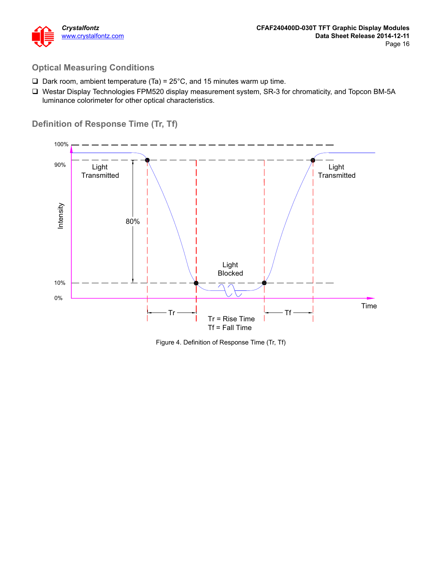

#### **Optical Measuring Conditions**

- $\Box$  Dark room, ambient temperature (Ta) = 25°C, and 15 minutes warm up time.
- Westar Display Technologies FPM520 display measurement system, SR-3 for chromaticity, and Topcon BM-5A luminance colorimeter for other optical characteristics.

#### **Definition of Response Time (Tr, Tf)**



<span id="page-15-1"></span><span id="page-15-0"></span>Figure 4. Definition of Response Time (Tr, Tf)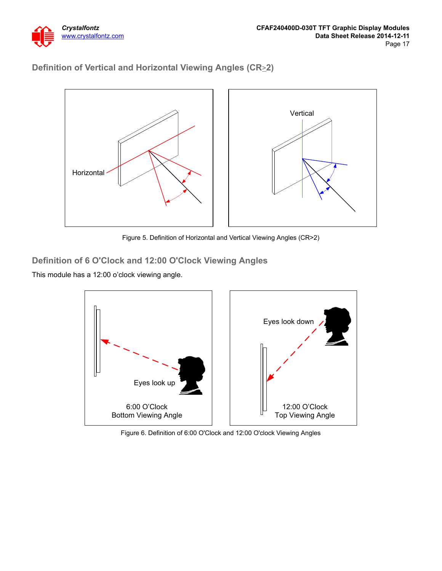

#### **Definition of Vertical and Horizontal Viewing Angles (CR**>**2)**



Figure 5. Definition of Horizontal and Vertical Viewing Angles (CR>2)

#### <span id="page-16-0"></span>**Definition of 6 O'Clock and 12:00 O'Clock Viewing Angles**

This module has a 12:00 o'clock viewing angle.



<span id="page-16-1"></span>Figure 6. Definition of 6:00 O'Clock and 12:00 O'clock Viewing Angles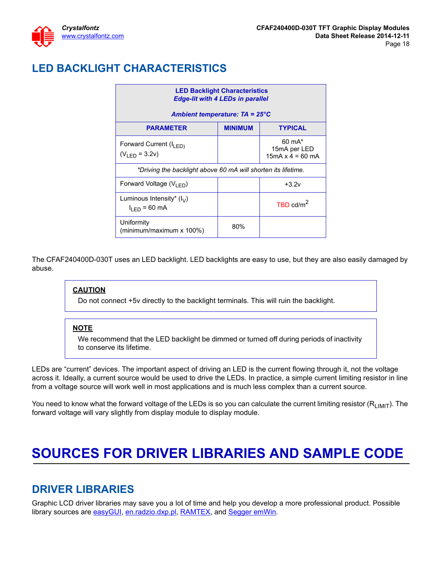## <span id="page-17-0"></span>**LED BACKLIGHT CHARACTERISTICS**

| <b>LED Backlight Characteristics</b><br><b>Edge-lit with 4 LEDs in parallel</b> |                                         |                                                              |  |  |  |  |
|---------------------------------------------------------------------------------|-----------------------------------------|--------------------------------------------------------------|--|--|--|--|
|                                                                                 | Ambient temperature: $TA = 25^{\circ}C$ |                                                              |  |  |  |  |
| <b>PARAMETER</b>                                                                | <b>MINIMUM</b>                          | <b>TYPICAL</b>                                               |  |  |  |  |
| Forward Current (I <sub>LED)</sub><br>$(V_{\text{IFD}} = 3.2v)$                 |                                         | $60 \text{ mA}^*$<br>15mA per LED<br>$15mA \times 4 = 60 mA$ |  |  |  |  |
| *Driving the backlight above 60 mA will shorten its lifetime.                   |                                         |                                                              |  |  |  |  |
| Forward Voltage $(V_{IFD})$                                                     |                                         | $+3.2v$                                                      |  |  |  |  |
| Luminous Intensity* $(I_V)$<br>$I_{LED}$ = 60 mA                                |                                         | TBD $cd/m2$                                                  |  |  |  |  |
| Uniformity<br>(minimum/maximum x 100%)                                          | 80%                                     |                                                              |  |  |  |  |

The CFAF240400D-030T uses an LED backlight. LED backlights are easy to use, but they are also easily damaged by abuse.

#### **CAUTION**

Do not connect +5v directly to the backlight terminals. This will ruin the backlight.

#### **NOTE**

We recommend that the LED backlight be dimmed or turned off during periods of inactivity to conserve its lifetime.

LEDs are "current" devices. The important aspect of driving an LED is the current flowing through it, not the voltage across it. Ideally, a current source would be used to drive the LEDs. In practice, a simple current limiting resistor in line from a voltage source will work well in most applications and is much less complex than a current source.

You need to know what the forward voltage of the LEDs is so you can calculate the current limiting resistor  $(R<sub>LIMIT</sub>)$ . The forward voltage will vary slightly from display module to display module.

# <span id="page-17-1"></span>**SOURCES FOR DRIVER LIBRARIES AND SAMPLE CODE**

#### <span id="page-17-2"></span>**DRIVER LIBRARIES**

Graphic LCD driver libraries may save you a lot of time and help you develop a more professional product. Possible library sources are [easyGUI](http://www.easygui.com/), [en.radzio.dxp.pl](http://en.radzio.dxp.pl/), [RAMTEX,](http://www.ramtex.dk/) and [Segger emWin.](http://www.segger.com/emwin.html)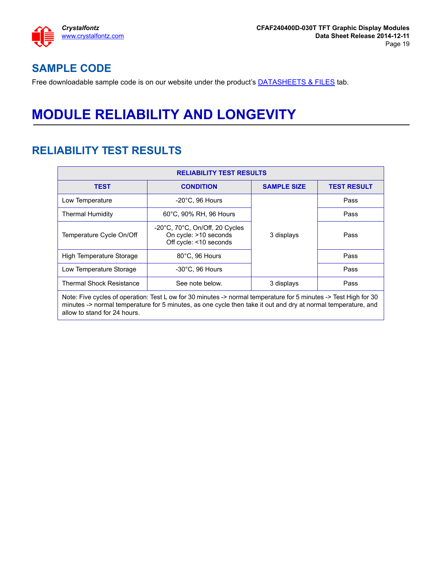

#### <span id="page-18-0"></span>**SAMPLE CODE**

Free downloadable sample code is on our website under the product's **DATASHEETS & FILES** tab.

# <span id="page-18-1"></span>**MODULE RELIABILITY AND LONGEVITY**

#### <span id="page-18-2"></span>**RELIABILITY TEST RESULTS**

| <b>RELIABILITY TEST RESULTS</b> |                                                                                                                                                                                                                                   |                    |                    |  |  |  |
|---------------------------------|-----------------------------------------------------------------------------------------------------------------------------------------------------------------------------------------------------------------------------------|--------------------|--------------------|--|--|--|
| <b>TEST</b>                     | <b>CONDITION</b>                                                                                                                                                                                                                  | <b>SAMPLE SIZE</b> | <b>TEST RESULT</b> |  |  |  |
| Low Temperature                 | $-20^{\circ}$ C, 96 Hours                                                                                                                                                                                                         |                    | Pass               |  |  |  |
| Thermal Humidity                | 60°C, 90% RH, 96 Hours                                                                                                                                                                                                            |                    | Pass               |  |  |  |
| Temperature Cycle On/Off        | $-20^{\circ}$ C, 70 $^{\circ}$ C, On/Off, 20 Cycles<br>On cycle: >10 seconds<br>Off cycle: <10 seconds                                                                                                                            | 3 displays         | Pass               |  |  |  |
| High Temperature Storage        | 80°C, 96 Hours                                                                                                                                                                                                                    |                    | Pass               |  |  |  |
| Low Temperature Storage         | $-30^{\circ}$ C, 96 Hours                                                                                                                                                                                                         |                    | Pass               |  |  |  |
| <b>Thermal Shock Resistance</b> | See note below.                                                                                                                                                                                                                   | 3 displays         | Pass               |  |  |  |
| allow to stand for 24 hours.    | Note: Five cycles of operation: Test L ow for 30 minutes -> normal temperature for 5 minutes -> Test High for 30<br>minutes -> normal temperature for 5 minutes, as one cycle then take it out and dry at normal temperature, and |                    |                    |  |  |  |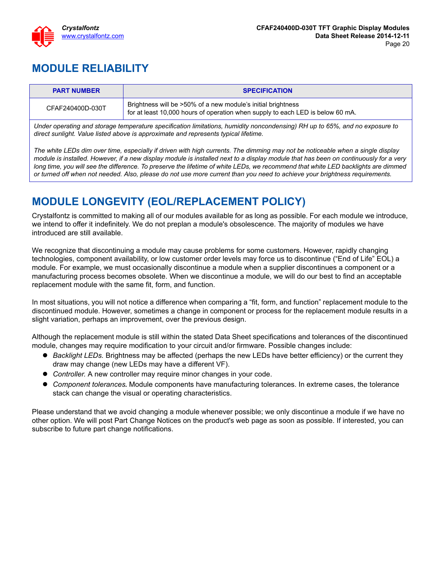

## <span id="page-19-0"></span>**MODULE RELIABILITY**

| <b>PART NUMBER</b> | <b>SPECIFICATION</b>                                                                                                                           |
|--------------------|------------------------------------------------------------------------------------------------------------------------------------------------|
| CFAF240400D-030T   | Brightness will be >50% of a new module's initial brightness<br>for at least 10,000 hours of operation when supply to each LED is below 60 mA. |

*Under operating and storage temperature specification limitations, humidity noncondensing) RH up to 65%, and no exposure to direct sunlight. Value listed above is approximate and represents typical lifetime.*

*The white LEDs dim over time, especially if driven with high currents. The dimming may not be noticeable when a single display module is installed. However, if a new display module is installed next to a display module that has been on continuously for a very long time, you will see the difference. To preserve the lifetime of white LEDs, we recommend that white LED backlights are dimmed or turned off when not needed. Also, please do not use more current than you need to achieve your brightness requirements.*

## <span id="page-19-1"></span>**MODULE LONGEVITY (EOL/REPLACEMENT POLICY)**

Crystalfontz is committed to making all of our modules available for as long as possible. For each module we introduce, we intend to offer it indefinitely. We do not preplan a module's obsolescence. The majority of modules we have introduced are still available.

We recognize that discontinuing a module may cause problems for some customers. However, rapidly changing technologies, component availability, or low customer order levels may force us to discontinue ("End of Life" EOL) a module. For example, we must occasionally discontinue a module when a supplier discontinues a component or a manufacturing process becomes obsolete. When we discontinue a module, we will do our best to find an acceptable replacement module with the same fit, form, and function.

In most situations, you will not notice a difference when comparing a "fit, form, and function" replacement module to the discontinued module. However, sometimes a change in component or process for the replacement module results in a slight variation, perhaps an improvement, over the previous design.

Although the replacement module is still within the stated Data Sheet specifications and tolerances of the discontinued module, changes may require modification to your circuit and/or firmware. Possible changes include:

- *Backlight LEDs.* Brightness may be affected (perhaps the new LEDs have better efficiency) or the current they draw may change (new LEDs may have a different VF).
- *Controller.* A new controller may require minor changes in your code.
- *Component tolerances.* Module components have manufacturing tolerances. In extreme cases, the tolerance stack can change the visual or operating characteristics.

Please understand that we avoid changing a module whenever possible; we only discontinue a module if we have no other option. We will post Part Change Notices on the product's web page as soon as possible. If interested, you can subscribe to future part change notifications.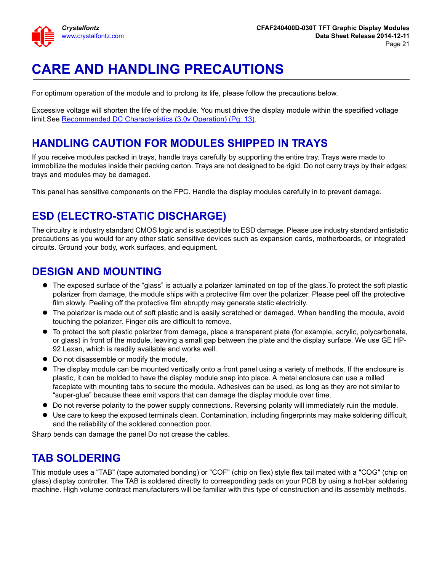

# <span id="page-20-0"></span>**CARE AND HANDLING PRECAUTIONS**

For optimum operation of the module and to prolong its life, please follow the precautions below.

Excessive voltage will shorten the life of the module. You must drive the display module within the specified voltage limit.See [Recommended DC Characteristics \(3.0v Operation\) \(Pg. 13\).](#page-12-0)

## **HANDLING CAUTION FOR MODULES SHIPPED IN TRAYS**

If you receive modules packed in trays, handle trays carefully by supporting the entire tray. Trays were made to immobilize the modules inside their packing carton. Trays are not designed to be rigid. Do not carry trays by their edges; trays and modules may be damaged.

This panel has sensitive components on the FPC. Handle the display modules carefully in to prevent damage.

#### **ESD (ELECTRO-STATIC DISCHARGE)**

The circuitry is industry standard CMOS logic and is susceptible to ESD damage. Please use industry standard antistatic precautions as you would for any other static sensitive devices such as expansion cards, motherboards, or integrated circuits. Ground your body, work surfaces, and equipment.

#### **DESIGN AND MOUNTING**

- The exposed surface of the "glass" is actually a polarizer laminated on top of the glass.To protect the soft plastic polarizer from damage, the module ships with a protective film over the polarizer. Please peel off the protective film slowly. Peeling off the protective film abruptly may generate static electricity.
- The polarizer is made out of soft plastic and is easily scratched or damaged. When handling the module, avoid touching the polarizer. Finger oils are difficult to remove.
- To protect the soft plastic polarizer from damage, place a transparent plate (for example, acrylic, polycarbonate, or glass) in front of the module, leaving a small gap between the plate and the display surface. We use GE HP-92 Lexan, which is readily available and works well.
- Do not disassemble or modify the module.
- The display module can be mounted vertically onto a front panel using a variety of methods. If the enclosure is plastic, it can be molded to have the display module snap into place. A metal enclosure can use a milled faceplate with mounting tabs to secure the module. Adhesives can be used, as long as they are not similar to "super-glue" because these emit vapors that can damage the display module over time.
- Do not reverse polarity to the power supply connections. Reversing polarity will immediately ruin the module.
- Use care to keep the exposed terminals clean. Contamination, including fingerprints may make soldering difficult, and the reliability of the soldered connection poor.

Sharp bends can damage the panel Do not crease the cables.

#### **TAB SOLDERING**

This module uses a "TAB" (tape automated bonding) or "COF" (chip on flex) style flex tail mated with a "COG" (chip on glass) display controller. The TAB is soldered directly to corresponding pads on your PCB by using a hot-bar soldering machine. High volume contract manufacturers will be familiar with this type of construction and its assembly methods.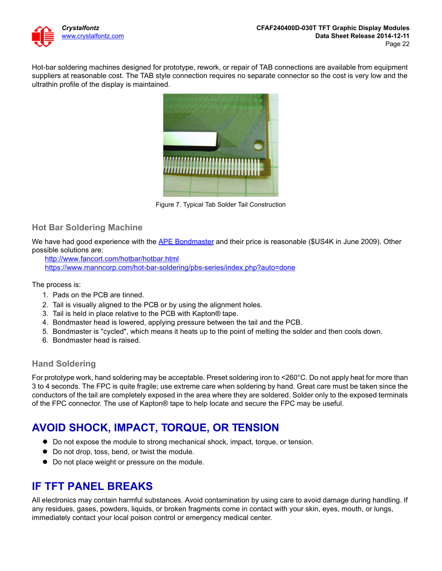

Hot-bar soldering machines designed for prototype, rework, or repair of TAB connections are available from equipment suppliers at reasonable cost. The TAB style connection requires no separate connector so the cost is very low and the ultrathin profile of the display is maintained.



Figure 7. Typical Tab Solder Tail Construction

#### <span id="page-21-1"></span><span id="page-21-0"></span>**Hot Bar Soldering Machine**

We have had good experience with the [APE Bondmaster](http://ape.com/bondmaster-smd-9000/) and their price is reasonable (\$US4K in June 2009). Other possible solutions are:

<http://www.fancort.com/hotbar/hotbar.html> <https://www.manncorp.com/hot-bar-soldering/pbs-series/index.php?auto=done>

The process is:

- 1. Pads on the PCB are tinned.
- 2. Tail is visually aligned to the PCB or by using the alignment holes.
- 3. Tail is held in place relative to the PCB with Kapton® tape.
- 4. Bondmaster head is lowered, applying pressure between the tail and the PCB.
- 5. Bondmaster is "cycled", which means it heats up to the point of melting the solder and then cools down.
- 6. Bondmaster head is raised.

#### **Hand Soldering**

For prototype work, hand soldering may be acceptable. Preset soldering iron to <260°C. Do not apply heat for more than 3 to 4 seconds. The FPC is quite fragile; use extreme care when soldering by hand. Great care must be taken since the conductors of the tail are completely exposed in the area where they are soldered. Solder only to the exposed terminals of the FPC connector. The use of Kapton® tape to help locate and secure the FPC may be useful.

#### **AVOID SHOCK, IMPACT, TORQUE, OR TENSION**

- Do not expose the module to strong mechanical shock, impact, torque, or tension.
- $\bullet$  Do not drop, toss, bend, or twist the module.
- $\bullet$  Do not place weight or pressure on the module.

#### **IF TFT PANEL BREAKS**

All electronics may contain harmful substances. Avoid contamination by using care to avoid damage during handling. If any residues, gases, powders, liquids, or broken fragments come in contact with your skin, eyes, mouth, or lungs, immediately contact your local poison control or emergency medical center.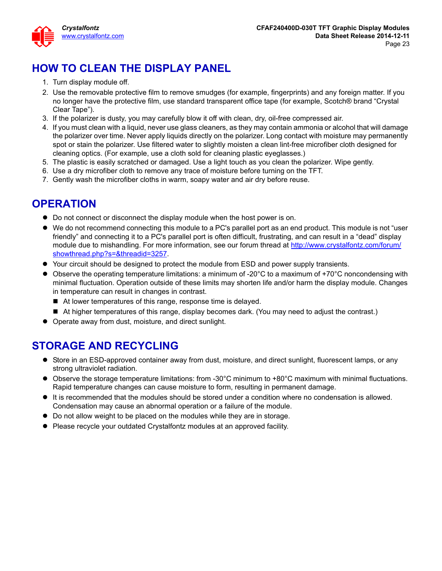

## **HOW TO CLEAN THE DISPLAY PANEL**

- 1. Turn display module off.
- 2. Use the removable protective film to remove smudges (for example, fingerprints) and any foreign matter. If you no longer have the protective film, use standard transparent office tape (for example, Scotch® brand "Crystal Clear Tape").
- 3. If the polarizer is dusty, you may carefully blow it off with clean, dry, oil-free compressed air.
- 4. If you must clean with a liquid, never use glass cleaners, as they may contain ammonia or alcohol that will damage the polarizer over time. Never apply liquids directly on the polarizer. Long contact with moisture may permanently spot or stain the polarizer. Use filtered water to slightly moisten a clean lint-free microfiber cloth designed for cleaning optics. (For example, use a cloth sold for cleaning plastic eyeglasses.)
- 5. The plastic is easily scratched or damaged. Use a light touch as you clean the polarizer. Wipe gently.
- 6. Use a dry microfiber cloth to remove any trace of moisture before turning on the TFT.
- 7. Gently wash the microfiber cloths in warm, soapy water and air dry before reuse.

#### **OPERATION**

- Do not connect or disconnect the display module when the host power is on.
- We do not recommend connecting this module to a PC's parallel port as an end product. This module is not "user friendly" and connecting it to a PC's parallel port is often difficult, frustrating, and can result in a "dead" display module due to mishandling. For more information, see our forum thread at [http://www.crystalfontz.com/forum/](http://www.crystalfontz.com/forum/showthread.php?s=&threadid=3257) [showthread.php?s=&threadid=3257](http://www.crystalfontz.com/forum/showthread.php?s=&threadid=3257).
- Your circuit should be designed to protect the module from ESD and power supply transients.
- $\bullet$  Observe the operating temperature limitations: a minimum of -20 $\degree$ C to a maximum of +70 $\degree$ C noncondensing with minimal fluctuation. Operation outside of these limits may shorten life and/or harm the display module. Changes in temperature can result in changes in contrast.
	- At lower temperatures of this range, response time is delayed.
	- At higher temperatures of this range, display becomes dark. (You may need to adjust the contrast.)
- Operate away from dust, moisture, and direct sunlight.

#### **STORAGE AND RECYCLING**

- Store in an ESD-approved container away from dust, moisture, and direct sunlight, fluorescent lamps, or any strong ultraviolet radiation.
- Observe the storage temperature limitations: from -30°C minimum to +80°C maximum with minimal fluctuations. Rapid temperature changes can cause moisture to form, resulting in permanent damage.
- It is recommended that the modules should be stored under a condition where no condensation is allowed. Condensation may cause an abnormal operation or a failure of the module.
- Do not allow weight to be placed on the modules while they are in storage.
- Please recycle your outdated Crystalfontz modules at an approved facility.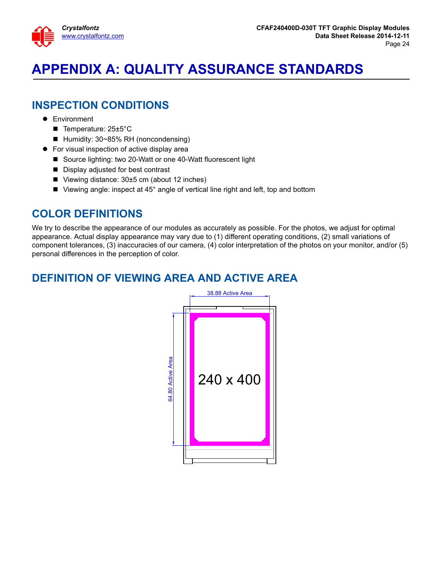

# <span id="page-23-0"></span>**APPENDIX A: QUALITY ASSURANCE STANDARDS**

#### **INSPECTION CONDITIONS**

- **•** Environment
	- Temperature: 25±5°C
	- Humidity: 30~85% RH (noncondensing)
- For visual inspection of active display area
	- Source lighting: two 20-Watt or one 40-Watt fluorescent light
	- Display adjusted for best contrast
	- Viewing distance:  $30±5$  cm (about 12 inches)
	- Viewing angle: inspect at 45° angle of vertical line right and left, top and bottom

#### **COLOR DEFINITIONS**

We try to describe the appearance of our modules as accurately as possible. For the photos, we adjust for optimal appearance. Actual display appearance may vary due to (1) different operating conditions, (2) small variations of component tolerances, (3) inaccuracies of our camera, (4) color interpretation of the photos on your monitor, and/or (5) personal differences in the perception of color.

#### **DEFINITION OF VIEWING AREA AND ACTIVE AREA**

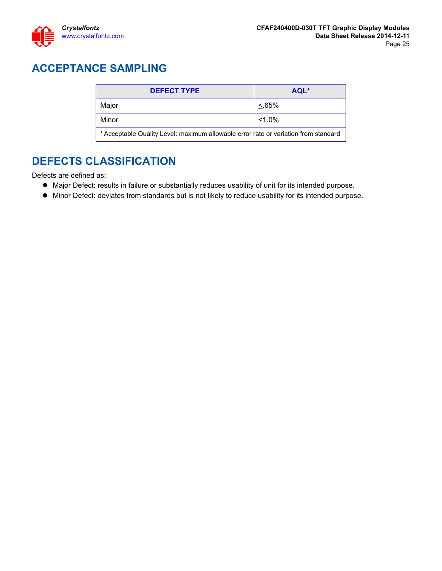

## **ACCEPTANCE SAMPLING**

| <b>DEFECT TYPE</b>                                                                  | AQL*      |  |  |  |
|-------------------------------------------------------------------------------------|-----------|--|--|--|
| Major                                                                               | $< 65\%$  |  |  |  |
| Minor                                                                               | $< 1.0\%$ |  |  |  |
| * Acceptable Quality Level: maximum allowable error rate or variation from standard |           |  |  |  |

#### **DEFECTS CLASSIFICATION**

Defects are defined as:

- Major Defect: results in failure or substantially reduces usability of unit for its intended purpose.
- Minor Defect: deviates from standards but is not likely to reduce usability for its intended purpose.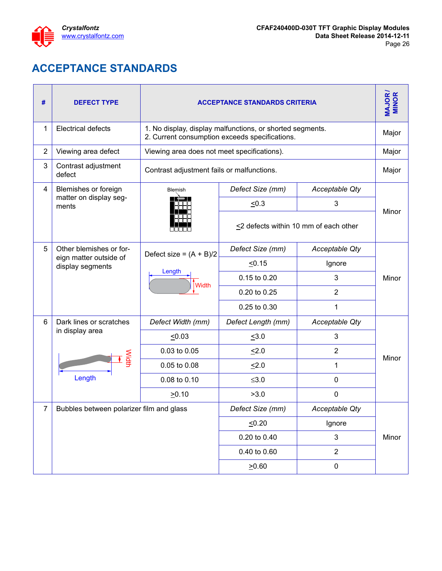

 $\mathbf{r}$ 

## **ACCEPTANCE STANDARDS**

<span id="page-25-1"></span><span id="page-25-0"></span>

| #              | <b>DEFECT TYPE</b>                         | <b>ACCEPTANCE STANDARDS CRITERIA</b>        |                                                                                                             |                |       |  |  |
|----------------|--------------------------------------------|---------------------------------------------|-------------------------------------------------------------------------------------------------------------|----------------|-------|--|--|
| 1              | <b>Electrical defects</b>                  |                                             | 1. No display, display malfunctions, or shorted segments.<br>2. Current consumption exceeds specifications. |                |       |  |  |
| $\overline{2}$ | Viewing area defect                        | Viewing area does not meet specifications). |                                                                                                             |                | Major |  |  |
| 3              | Contrast adjustment<br>defect              | Contrast adjustment fails or malfunctions.  |                                                                                                             |                |       |  |  |
| 4              | Blemishes or foreign                       | Blemish                                     | Defect Size (mm)                                                                                            | Acceptable Qty |       |  |  |
|                | matter on display seg-<br>ments            |                                             | $\leq 0.3$                                                                                                  | 3              |       |  |  |
|                |                                            |                                             | $\leq$ 2 defects within 10 mm of each other                                                                 | Minor          |       |  |  |
| 5              | Other blemishes or for-                    | Defect size = $(A + B)/2$                   | Defect Size (mm)                                                                                            | Acceptable Qty |       |  |  |
|                | eign matter outside of<br>display segments | Length                                      | < 0.15                                                                                                      | Ignore         |       |  |  |
|                |                                            |                                             | 0.15 to 0.20                                                                                                | 3              | Minor |  |  |
|                |                                            | Width                                       | 0.20 to 0.25                                                                                                | $\overline{2}$ |       |  |  |
|                |                                            |                                             | 0.25 to 0.30                                                                                                | 1              |       |  |  |
| 6              | Dark lines or scratches                    | Defect Width (mm)                           | Defect Length (mm)                                                                                          | Acceptable Qty |       |  |  |
|                | in display area                            | $\leq 0.03$                                 | $\leq 3.0$                                                                                                  | $\mathbf{3}$   |       |  |  |
|                |                                            | 0.03 to 0.05                                | 52.0                                                                                                        | $\overline{2}$ | Minor |  |  |
|                | Width                                      | 0.05 to 0.08                                | $\leq$ 2.0                                                                                                  | 1              |       |  |  |
|                | Length                                     | 0.08 to 0.10                                | $≤3.0$                                                                                                      | 0              |       |  |  |
|                |                                            | $\geq 0.10$                                 | >3.0                                                                                                        | 0              |       |  |  |
| 7              | Bubbles between polarizer film and glass   |                                             | Defect Size (mm)                                                                                            | Acceptable Qty |       |  |  |
|                |                                            |                                             | 50.20                                                                                                       | Ignore         |       |  |  |
|                |                                            |                                             | 0.20 to 0.40                                                                                                | 3              | Minor |  |  |
|                |                                            |                                             | 0.40 to 0.60                                                                                                | $\overline{2}$ |       |  |  |
|                |                                            |                                             | 20.60                                                                                                       | $\pmb{0}$      |       |  |  |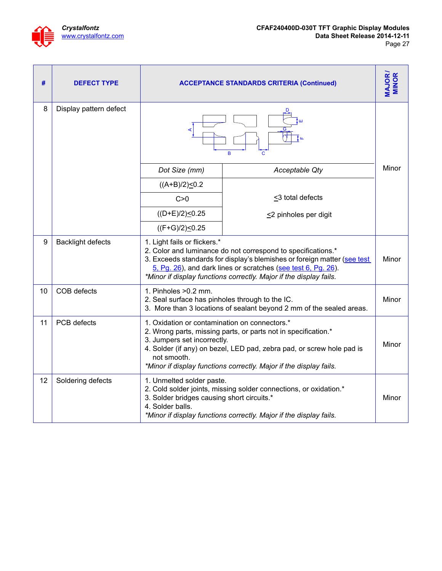

| #  | <b>DEFECT TYPE</b>       | <b>ACCEPTANCE STANDARDS CRITERIA (Continued)</b>                                                                                                                                                                                                                                                                      |                                                                      |       |  |
|----|--------------------------|-----------------------------------------------------------------------------------------------------------------------------------------------------------------------------------------------------------------------------------------------------------------------------------------------------------------------|----------------------------------------------------------------------|-------|--|
| 8  | Display pattern defect   | B<br>с                                                                                                                                                                                                                                                                                                                |                                                                      |       |  |
|    |                          | Dot Size (mm)                                                                                                                                                                                                                                                                                                         | Acceptable Qty                                                       | Minor |  |
|    |                          | $((A+B)/2) \le 0.2$                                                                                                                                                                                                                                                                                                   |                                                                      |       |  |
|    |                          | C>0                                                                                                                                                                                                                                                                                                                   | $\leq$ 3 total defects                                               |       |  |
|    |                          | $((D+E)/2) \leq 0.25$                                                                                                                                                                                                                                                                                                 | $\leq$ 2 pinholes per digit                                          |       |  |
|    |                          | $((F+G)/2) \leq 0.25$                                                                                                                                                                                                                                                                                                 |                                                                      |       |  |
| 9  | <b>Backlight defects</b> | 1. Light fails or flickers.*<br>2. Color and luminance do not correspond to specifications.*<br>3. Exceeds standards for display's blemishes or foreign matter (see test<br>5, Pg. 26), and dark lines or scratches (see test 6, Pg. 26).<br>*Minor if display functions correctly. Major if the display fails.       |                                                                      |       |  |
| 10 | COB defects              | 1. Pinholes > 0.2 mm.<br>2. Seal surface has pinholes through to the IC.                                                                                                                                                                                                                                              | 3. More than 3 locations of sealant beyond 2 mm of the sealed areas. | Minor |  |
| 11 | PCB defects              | 1. Oxidation or contamination on connectors.*<br>2. Wrong parts, missing parts, or parts not in specification.*<br>3. Jumpers set incorrectly.<br>Minor<br>4. Solder (if any) on bezel, LED pad, zebra pad, or screw hole pad is<br>not smooth.<br>*Minor if display functions correctly. Major if the display fails. |                                                                      |       |  |
| 12 | Soldering defects        | 1. Unmelted solder paste.<br>2. Cold solder joints, missing solder connections, or oxidation.*<br>3. Solder bridges causing short circuits.*<br>Minor<br>4. Solder balls.<br>*Minor if display functions correctly. Major if the display fails.                                                                       |                                                                      |       |  |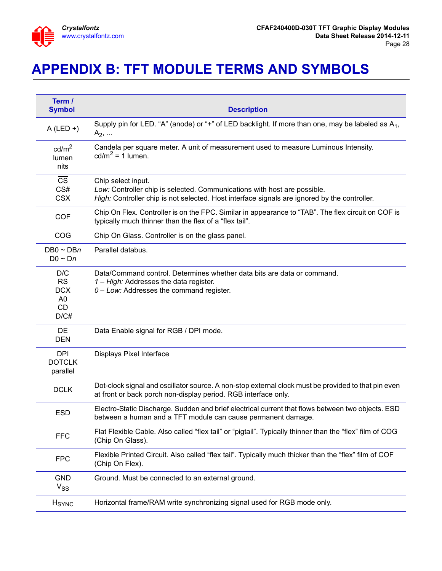

# <span id="page-27-0"></span>**APPENDIX B: TFT MODULE TERMS AND SYMBOLS**

| Term /<br><b>Symbol</b>                                               | <b>Description</b>                                                                                                                                                                             |
|-----------------------------------------------------------------------|------------------------------------------------------------------------------------------------------------------------------------------------------------------------------------------------|
| $A$ (LED +)                                                           | Supply pin for LED. "A" (anode) or "+" of LED backlight. If more than one, may be labeled as $A_1$ ,<br>$A_2, $                                                                                |
| cd/m <sup>2</sup><br>lumen<br>nits                                    | Candela per square meter. A unit of measurement used to measure Luminous Intensity.<br>cd/m <sup>2</sup> = 1 lumen.                                                                            |
| $\overline{\text{CS}}$<br>CS#<br><b>CSX</b>                           | Chip select input.<br>Low: Controller chip is selected. Communications with host are possible.<br>High: Controller chip is not selected. Host interface signals are ignored by the controller. |
| <b>COF</b>                                                            | Chip On Flex. Controller is on the FPC. Similar in appearance to "TAB". The flex circuit on COF is<br>typically much thinner than the flex of a "flex tail".                                   |
| COG                                                                   | Chip On Glass. Controller is on the glass panel.                                                                                                                                               |
| $DB0 \sim DBn$<br>$D0 \sim Dn$                                        | Parallel databus.                                                                                                                                                                              |
| D/C<br><b>RS</b><br><b>DCX</b><br>A <sub>0</sub><br><b>CD</b><br>D/C# | Data/Command control. Determines whether data bits are data or command.<br>1 - High: Addresses the data register.<br>$0 - Low$ : Addresses the command register.                               |
| DE<br><b>DEN</b>                                                      | Data Enable signal for RGB / DPI mode.                                                                                                                                                         |
| <b>DPI</b><br><b>DOTCLK</b><br>parallel                               | <b>Displays Pixel Interface</b>                                                                                                                                                                |
| <b>DCLK</b>                                                           | Dot-clock signal and oscillator source. A non-stop external clock must be provided to that pin even<br>at front or back porch non-display period. RGB interface only.                          |
| <b>ESD</b>                                                            | Electro-Static Discharge. Sudden and brief electrical current that flows between two objects. ESD<br>between a human and a TFT module can cause permanent damage                               |
| <b>FFC</b>                                                            | Flat Flexible Cable. Also called "flex tail" or "pigtail". Typically thinner than the "flex" film of COG<br>(Chip On Glass).                                                                   |
| <b>FPC</b>                                                            | Flexible Printed Circuit. Also called "flex tail". Typically much thicker than the "flex" film of COF<br>(Chip On Flex).                                                                       |
| <b>GND</b><br>$V_{SS}$                                                | Ground. Must be connected to an external ground.                                                                                                                                               |
| $H_{\text{SYNC}}$                                                     | Horizontal frame/RAM write synchronizing signal used for RGB mode only.                                                                                                                        |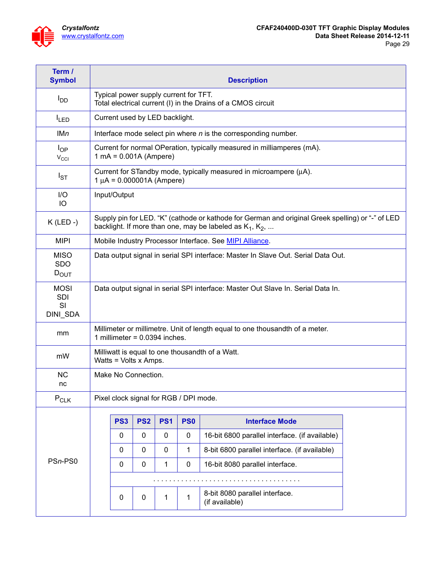

| Term /<br><b>Symbol</b>                | <b>Description</b>                                                                                              |                                                                                                                                                                  |             |                 |                 |                                                                 |  |  |
|----------------------------------------|-----------------------------------------------------------------------------------------------------------------|------------------------------------------------------------------------------------------------------------------------------------------------------------------|-------------|-----------------|-----------------|-----------------------------------------------------------------|--|--|
| l <sub>DD</sub>                        |                                                                                                                 | Typical power supply current for TFT.<br>Total electrical current (I) in the Drains of a CMOS circuit                                                            |             |                 |                 |                                                                 |  |  |
| $I_{LED}$                              |                                                                                                                 | Current used by LED backlight.                                                                                                                                   |             |                 |                 |                                                                 |  |  |
| <b>IMn</b>                             |                                                                                                                 | Interface mode select pin where $n$ is the corresponding number.                                                                                                 |             |                 |                 |                                                                 |  |  |
| $I_{OP}$<br>$V_{\rm CCl}$              |                                                                                                                 | Current for normal OPeration, typically measured in milliamperes (mA).<br>$1 \text{ mA} = 0.001 \text{ A} \text{ (Ampere)}$                                      |             |                 |                 |                                                                 |  |  |
| $I_{ST}$                               |                                                                                                                 | Current for STandby mode, typically measured in microampere (µA).<br>$1 \mu A = 0.000001A$ (Ampere)                                                              |             |                 |                 |                                                                 |  |  |
| I/O<br>IO                              |                                                                                                                 | Input/Output                                                                                                                                                     |             |                 |                 |                                                                 |  |  |
| $K$ (LED -)                            |                                                                                                                 | Supply pin for LED. "K" (cathode or kathode for German and original Greek spelling) or "-" of LED<br>backlight. If more than one, may be labeled as $K_1, K_2, $ |             |                 |                 |                                                                 |  |  |
| <b>MIPI</b>                            |                                                                                                                 |                                                                                                                                                                  |             |                 |                 | Mobile Industry Processor Interface. See <b>MIPI Alliance</b> . |  |  |
| <b>MISO</b><br><b>SDO</b><br>$D_{OUT}$ | Data output signal in serial SPI interface: Master In Slave Out. Serial Data Out.                               |                                                                                                                                                                  |             |                 |                 |                                                                 |  |  |
| <b>MOSI</b><br>SDI<br>SI<br>DINI_SDA   | Data output signal in serial SPI interface: Master Out Slave In. Serial Data In.                                |                                                                                                                                                                  |             |                 |                 |                                                                 |  |  |
| mm                                     | Millimeter or millimetre. Unit of length equal to one thousandth of a meter.<br>1 millimeter = $0.0394$ inches. |                                                                                                                                                                  |             |                 |                 |                                                                 |  |  |
| mW                                     | Milliwatt is equal to one thousandth of a Watt.<br>Watts = Volts x Amps.                                        |                                                                                                                                                                  |             |                 |                 |                                                                 |  |  |
| <b>NC</b><br>nc                        | Make No Connection.                                                                                             |                                                                                                                                                                  |             |                 |                 |                                                                 |  |  |
| $P_{CLK}$                              | Pixel clock signal for RGB / DPI mode.                                                                          |                                                                                                                                                                  |             |                 |                 |                                                                 |  |  |
| PSn-PS0                                |                                                                                                                 | PS <sub>3</sub>                                                                                                                                                  | <b>PS2</b>  | PS <sub>1</sub> | PS <sub>0</sub> | <b>Interface Mode</b>                                           |  |  |
|                                        |                                                                                                                 | 0                                                                                                                                                                | 0           | 0               | 0               | 16-bit 6800 parallel interface. (if available)                  |  |  |
|                                        |                                                                                                                 | 0                                                                                                                                                                | 0           | $\mathbf 0$     | $\mathbf{1}$    | 8-bit 6800 parallel interface. (if available)                   |  |  |
|                                        |                                                                                                                 | 0                                                                                                                                                                | 0           | 1               | 0               | 16-bit 8080 parallel interface.                                 |  |  |
|                                        |                                                                                                                 |                                                                                                                                                                  |             |                 |                 |                                                                 |  |  |
|                                        |                                                                                                                 | $\mathbf 0$                                                                                                                                                      | $\mathbf 0$ | 1               | $\mathbf{1}$    | 8-bit 8080 parallel interface.<br>(if available)                |  |  |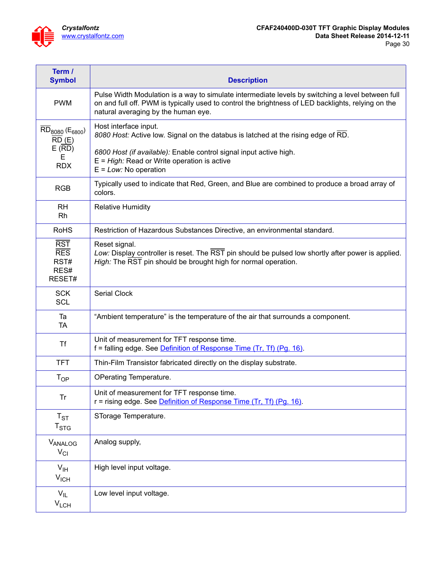

| Term /<br><b>Symbol</b>                                          | <b>Description</b>                                                                                                                                                                                                                                             |
|------------------------------------------------------------------|----------------------------------------------------------------------------------------------------------------------------------------------------------------------------------------------------------------------------------------------------------------|
| <b>PWM</b>                                                       | Pulse Width Modulation is a way to simulate intermediate levels by switching a level between full<br>on and full off. PWM is typically used to control the brightness of LED backlights, relying on the<br>natural averaging by the human eye.                 |
| $RD_{8080}$ ( $E_{6800}$ )<br>RD(E)<br>E (RD)<br>Е<br><b>RDX</b> | Host interface input.<br>8080 Host: Active low. Signal on the databus is latched at the rising edge of RD.<br>6800 Host (if available): Enable control signal input active high.<br>$E = High$ : Read or Write operation is active<br>$E = Low$ : No operation |
| <b>RGB</b>                                                       | Typically used to indicate that Red, Green, and Blue are combined to produce a broad array of<br>colors.                                                                                                                                                       |
| <b>RH</b><br>Rh                                                  | <b>Relative Humidity</b>                                                                                                                                                                                                                                       |
| <b>RoHS</b>                                                      | Restriction of Hazardous Substances Directive, an environmental standard.                                                                                                                                                                                      |
| <b>RST</b><br><b>RES</b><br>RST#<br>RES#<br>RESET#               | Reset signal.<br>Low: Display controller is reset. The RST pin should be pulsed low shortly after power is applied.<br>High: The RST pin should be brought high for normal operation.                                                                          |
| <b>SCK</b><br><b>SCL</b>                                         | <b>Serial Clock</b>                                                                                                                                                                                                                                            |
| Ta<br><b>TA</b>                                                  | "Ambient temperature" is the temperature of the air that surrounds a component.                                                                                                                                                                                |
| <b>Tf</b>                                                        | Unit of measurement for TFT response time.<br>f = falling edge. See Definition of Response Time (Tr, Tf) (Pg. 16).                                                                                                                                             |
| <b>TFT</b>                                                       | Thin-Film Transistor fabricated directly on the display substrate.                                                                                                                                                                                             |
| $T_{OP}$                                                         | OPerating Temperature.                                                                                                                                                                                                                                         |
| <b>Tr</b>                                                        | Unit of measurement for TFT response time.<br>r = rising edge. See Definition of Response Time (Tr, Tf) (Pg. 16).                                                                                                                                              |
| $T_{ST}$<br>$T_{STG}$                                            | STorage Temperature.                                                                                                                                                                                                                                           |
| VANALOG<br>$V_{CI}$                                              | Analog supply,                                                                                                                                                                                                                                                 |
| $V_{\text{IH}}$<br>$V_{\text{ICH}}$                              | High level input voltage.                                                                                                                                                                                                                                      |
| $V_{IL}$<br>$V_{LCH}$                                            | Low level input voltage.                                                                                                                                                                                                                                       |